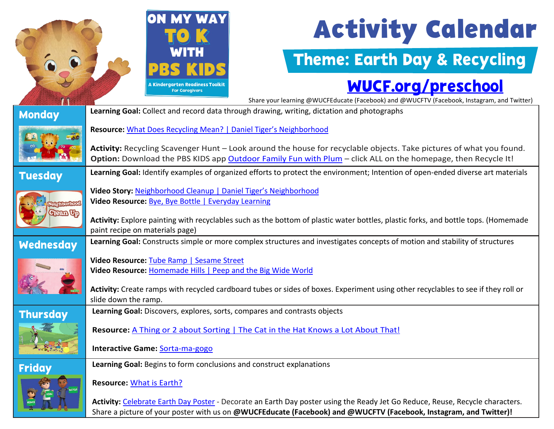

# **Activity Calendar**

### Theme: Earth Day & Recycling

#### [WUCF.org/preschool](https://www.wucf.org/community/family/wucf-on-my-way-to-k/)

|                                     | Share your learning @WUCFEducate (Facebook) and @WUCFTV (Facebook, Instagram, and Twitter)                                                                                                                                                                             |  |  |
|-------------------------------------|------------------------------------------------------------------------------------------------------------------------------------------------------------------------------------------------------------------------------------------------------------------------|--|--|
| <b>Monday</b>                       | Learning Goal: Collect and record data through drawing, writing, dictation and photographs                                                                                                                                                                             |  |  |
|                                     | Resource: What Does Recycling Mean?   Daniel Tiger's Neighborhood                                                                                                                                                                                                      |  |  |
|                                     | Activity: Recycling Scavenger Hunt - Look around the house for recyclable objects. Take pictures of what you found.<br>Option: Download the PBS KIDS app Outdoor Family Fun with Plum - click ALL on the homepage, then Recycle It!                                    |  |  |
| <b>Tuesday</b>                      | Learning Goal: Identify examples of organized efforts to protect the environment; Intention of open-ended diverse art materials                                                                                                                                        |  |  |
| <b>chborhoot</b><br><b>Clean Up</b> | Video Story: Neighborhood Cleanup   Daniel Tiger's Neighborhood<br>Video Resource: Bye, Bye Bottle   Everyday Learning                                                                                                                                                 |  |  |
|                                     | Activity: Explore painting with recyclables such as the bottom of plastic water bottles, plastic forks, and bottle tops. (Homemade<br>paint recipe on materials page)                                                                                                  |  |  |
| <b>Wednesday</b>                    | Learning Goal: Constructs simple or more complex structures and investigates concepts of motion and stability of structures                                                                                                                                            |  |  |
|                                     | Video Resource: Tube Ramp   Sesame Street<br>Video Resource: Homemade Hills   Peep and the Big Wide World<br>Activity: Create ramps with recycled cardboard tubes or sides of boxes. Experiment using other recyclables to see if they roll or<br>slide down the ramp. |  |  |
| <b>Thursday</b>                     | Learning Goal: Discovers, explores, sorts, compares and contrasts objects                                                                                                                                                                                              |  |  |
|                                     | Resource: A Thing or 2 about Sorting   The Cat in the Hat Knows a Lot About That!                                                                                                                                                                                      |  |  |
|                                     | Interactive Game: Sorta-ma-gogo                                                                                                                                                                                                                                        |  |  |
| <b>Friday</b>                       | Learning Goal: Begins to form conclusions and construct explanations                                                                                                                                                                                                   |  |  |
|                                     | <b>Resource: What is Earth?</b>                                                                                                                                                                                                                                        |  |  |
|                                     | Activity: Celebrate Earth Day Poster - Decorate an Earth Day poster using the Ready Jet Go Reduce, Reuse, Recycle characters.<br>Share a picture of your poster with us on @WUCFEducate (Facebook) and @WUCFTV (Facebook, Instagram, and Twitter)!                     |  |  |